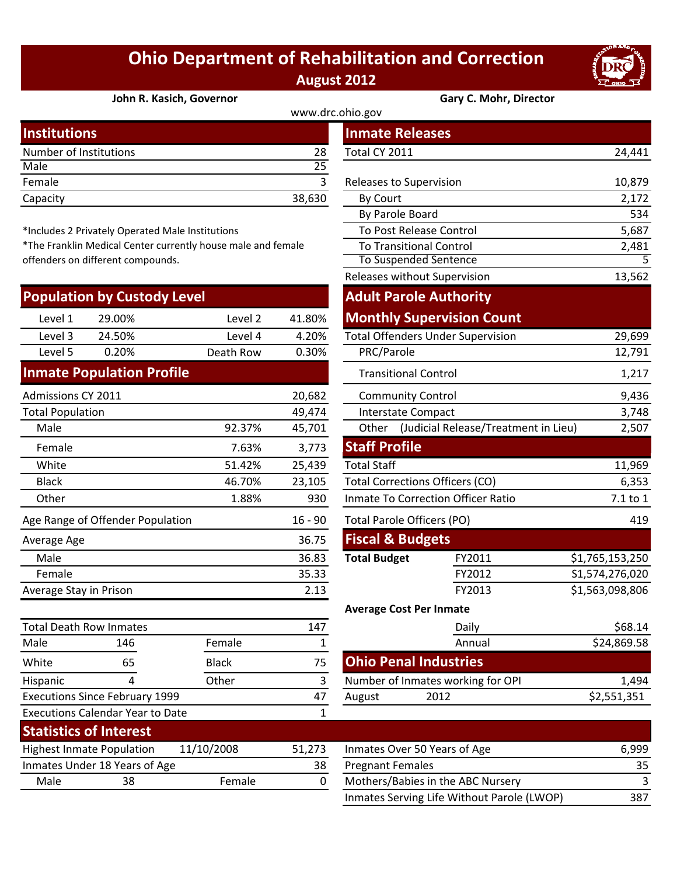## **Ohio Department of Rehabilitation and Correction August 2012**



## **John R. Kasich, Governor Gary C. Mohr, Director**

| <b>Institutions</b>    |        | <b>Inmate Releases</b>  |        |  |  |
|------------------------|--------|-------------------------|--------|--|--|
| Number of Institutions | 28     | Total CY 2011           | 24,441 |  |  |
| Male                   | 25     |                         |        |  |  |
| Female                 |        | Releases to Supervision | 10,879 |  |  |
| Capacity               | 38,630 | By Court                | 2,172  |  |  |
|                        |        |                         |        |  |  |

\*Includes 2 Privately Operated Male Institutions

\*The Franklin Medical Center currently house male and female offenders on different compounds.

| <b>Population by Custody Level</b>            |                                         |              |                                   |                                        | <b>Adult Parole Authority</b>            |                 |
|-----------------------------------------------|-----------------------------------------|--------------|-----------------------------------|----------------------------------------|------------------------------------------|-----------------|
| Level 1                                       | 29.00%                                  | Level 2      | 41.80%                            |                                        | <b>Monthly Supervision Count</b>         |                 |
| Level 3                                       | 24.50%                                  | Level 4      | 4.20%                             |                                        | <b>Total Offenders Under Supervision</b> | 29,699          |
| Level 5                                       | 0.20%                                   | Death Row    | 0.30%                             | PRC/Parole                             |                                          | 12,791          |
|                                               | <b>Inmate Population Profile</b>        |              |                                   |                                        | <b>Transitional Control</b>              | 1,217           |
| Admissions CY 2011                            |                                         |              | 20,682                            |                                        | <b>Community Control</b>                 | 9,436           |
| <b>Total Population</b>                       |                                         |              | 49,474                            |                                        | <b>Interstate Compact</b>                | 3,748           |
| Male                                          |                                         | 92.37%       | 45,701                            | Other                                  | (Judicial Release/Treatment in Lieu)     | 2,507           |
| Female                                        |                                         | 7.63%        | 3,773                             | <b>Staff Profile</b>                   |                                          |                 |
| White                                         |                                         | 51.42%       | 25,439                            | <b>Total Staff</b>                     |                                          | 11,969          |
| <b>Black</b>                                  |                                         | 46.70%       | 23,105                            | <b>Total Corrections Officers (CO)</b> |                                          | 6,353           |
| Other                                         |                                         | 1.88%        | 930                               | Inmate To Correction Officer Ratio     |                                          | 7.1 to 1        |
| Age Range of Offender Population<br>$16 - 90$ |                                         |              | <b>Total Parole Officers (PO)</b> | 419                                    |                                          |                 |
| Average Age                                   |                                         |              | 36.75                             | <b>Fiscal &amp; Budgets</b>            |                                          |                 |
| Male                                          |                                         |              | 36.83                             | <b>Total Budget</b>                    | FY2011                                   | \$1,765,153,250 |
| Female                                        |                                         |              | 35.33                             |                                        | FY2012                                   | S1,574,276,020  |
| Average Stay in Prison                        |                                         |              | 2.13                              |                                        | FY2013                                   | \$1,563,098,806 |
|                                               |                                         |              |                                   |                                        | <b>Average Cost Per Inmate</b>           |                 |
| <b>Total Death Row Inmates</b><br>147         |                                         |              |                                   | Daily                                  | \$68.14                                  |                 |
| Male                                          | 146                                     | Female       | 1                                 |                                        | Annual                                   | \$24,869.58     |
| White                                         | 65                                      | <b>Black</b> | 75                                |                                        | <b>Ohio Penal Industries</b>             |                 |
| Hispanic                                      | 4                                       | Other        | 3                                 |                                        | Number of Inmates working for OPI        | 1,494           |
| <b>Executions Since February 1999</b>         |                                         | 47           | August                            | 2012                                   | \$2,551,351                              |                 |
|                                               | <b>Executions Calendar Year to Date</b> |              | $\mathbf{1}$                      |                                        |                                          |                 |
|                                               | <b>Statistics of Interest</b>           |              |                                   |                                        |                                          |                 |
|                                               |                                         |              |                                   |                                        |                                          |                 |

| Highest Inmate Population |                               | 11/10/2008    | 51.273 | Inmates Over 50 Years of Age |
|---------------------------|-------------------------------|---------------|--------|------------------------------|
|                           | Inmates Under 18 Years of Age |               | 38     | <b>Pregnant Females</b>      |
| Male                      | 38                            | <b>Female</b> |        | Mothers/Babies in the ABC N  |
|                           |                               |               |        |                              |

|                                               |                                               |                                                           |             | www.drc.ohio.gov     |                                            |                 |
|-----------------------------------------------|-----------------------------------------------|-----------------------------------------------------------|-------------|----------------------|--------------------------------------------|-----------------|
| stitutions                                    |                                               |                                                           |             |                      | <b>Inmate Releases</b>                     |                 |
| mber of Institutions                          |                                               |                                                           | 28          | Total CY 2011        |                                            | 24,441          |
| le                                            |                                               |                                                           | 25          |                      |                                            |                 |
| nale                                          |                                               |                                                           | 3           |                      | Releases to Supervision                    | 10,879          |
| acity                                         |                                               |                                                           | 38,630      | By Court             |                                            | 2,172           |
|                                               |                                               |                                                           |             |                      | By Parole Board                            | 534             |
|                                               | cludes 2 Privately Operated Male Institutions |                                                           |             |                      | To Post Release Control                    | 5,687           |
|                                               |                                               | e Franklin Medical Center currently house male and female |             |                      | <b>To Transitional Control</b>             | 2,481           |
|                                               | nders on different compounds.                 |                                                           |             |                      | To Suspended Sentence                      | 5               |
|                                               |                                               |                                                           |             |                      | Releases without Supervision               | 13,562          |
|                                               | pulation by Custody Level                     |                                                           |             |                      | <b>Adult Parole Authority</b>              |                 |
| Level 1                                       | 29.00%                                        | Level 2                                                   | 41.80%      |                      | <b>Monthly Supervision Count</b>           |                 |
| Level 3                                       | 24.50%                                        | Level 4                                                   | 4.20%       |                      | <b>Total Offenders Under Supervision</b>   | 29,699          |
| Level 5                                       | 0.20%                                         | Death Row                                                 | 0.30%       | PRC/Parole           |                                            | 12,791          |
|                                               | mate Population Profile                       |                                                           |             |                      | <b>Transitional Control</b>                | 1,217           |
| nissions CY 2011                              |                                               |                                                           | 20,682      |                      | <b>Community Control</b>                   | 9,436           |
| al Population                                 |                                               |                                                           | 49,474      |                      | <b>Interstate Compact</b>                  | 3,748           |
| Male                                          |                                               | 92.37%                                                    | 45,701      |                      | Other (Judicial Release/Treatment in Lieu) | 2,507           |
| Female                                        |                                               | 7.63%                                                     | 3,773       | <b>Staff Profile</b> |                                            |                 |
| White                                         |                                               | 51.42%                                                    | 25,439      | <b>Total Staff</b>   |                                            | 11,969          |
| <b>Black</b>                                  |                                               | 46.70%                                                    | 23,105      |                      | <b>Total Corrections Officers (CO)</b>     | 6,353           |
| <b>Other</b>                                  |                                               | 1.88%                                                     | 930         |                      | <b>Inmate To Correction Officer Ratio</b>  | 7.1 to 1        |
|                                               | Range of Offender Population                  |                                                           | $16 - 90$   |                      | Total Parole Officers (PO)                 | 419             |
| rage Age                                      |                                               |                                                           | 36.75       |                      | <b>Fiscal &amp; Budgets</b>                |                 |
| Male                                          |                                               |                                                           | 36.83       | <b>Total Budget</b>  | FY2011                                     | \$1,765,153,250 |
| Female                                        |                                               |                                                           | 35.33       |                      | FY2012                                     | S1,574,276,020  |
| rage Stay in Prison                           |                                               |                                                           | 2.13        |                      | FY2013                                     | \$1,563,098,806 |
|                                               |                                               |                                                           |             |                      | <b>Average Cost Per Inmate</b>             |                 |
|                                               | al Death Row Inmates                          |                                                           | 147         |                      | Daily                                      | \$68.14         |
| le                                            | 146                                           | Female                                                    | $\mathbf 1$ |                      | Annual                                     | \$24,869.58     |
| ite                                           | 65                                            | <b>Black</b>                                              | 75          |                      | <b>Ohio Penal Industries</b>               |                 |
| panic                                         | 4                                             | Other                                                     | 3           |                      | Number of Inmates working for OPI          | 1,494           |
|                                               | cutions Since February 1999                   |                                                           | 47          | August               | 2012                                       | \$2,551,351     |
| cutions Calendar Year to Date<br>$\mathbf{1}$ |                                               |                                                           |             |                      |                                            |                 |

| 11/10/2008<br><b>Highest Inmate Population</b> |                               | 51.273 | Inmates Over 50 Years of Age | 6,999                                      |     |
|------------------------------------------------|-------------------------------|--------|------------------------------|--------------------------------------------|-----|
|                                                | Inmates Under 18 Years of Age |        | 38                           | <b>Pregnant Females</b>                    | 35. |
| Male                                           | 38                            | Female |                              | Mothers/Babies in the ABC Nursery          |     |
|                                                |                               |        |                              | Inmates Serving Life Without Parole (LWOP) | 387 |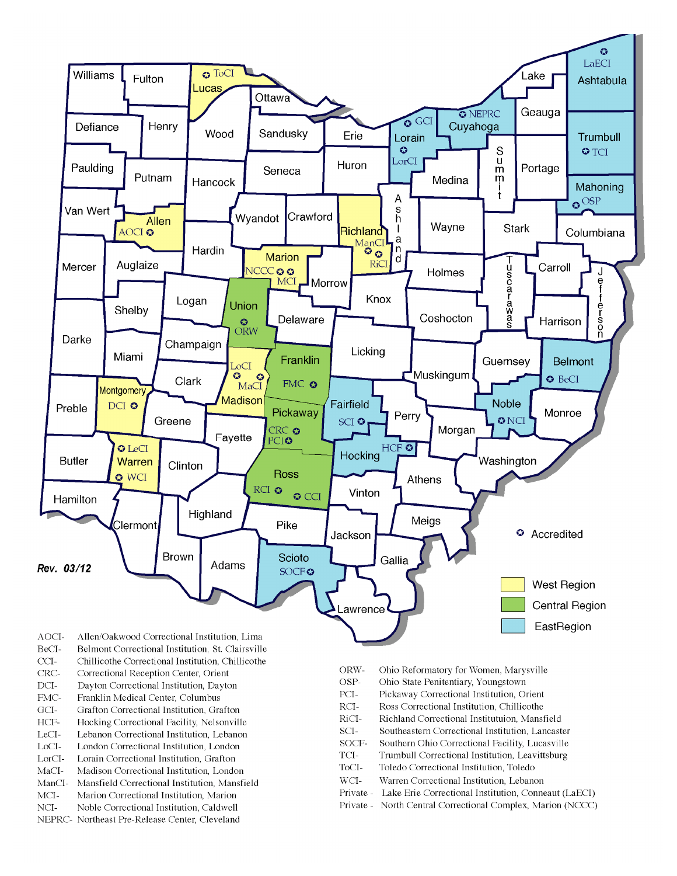

- BeCI-Belmont Correctional Institution, St. Clairsville
- $CCI-$ Chillicothe Correctional Institution, Chillicothe
- Correctional Reception Center, Orient CRC-
- $DCI-$ Dayton Correctional Institution, Dayton
- FMC-Franklin Medical Center, Columbus
- $\rm{GCI}\mbox{-}$ Grafton Correctional Institution, Grafton
- HCF-Hocking Correctional Facility, Nelsonville
- LeCI-Lebanon Correctional Institution, Lebanon
- LoCI-London Correctional Institution. London
- $\operatorname{LorCl-}$ Lorain Correctional Institution, Grafton
- $MaCI-$ Madison Correctional Institution, London
- ManCI-Mansfield Correctional Institution, Mansfield MCI-Marion Correctional Institution, Marion
- Noble Correctional Institution, Caldwell
- NCI-NEPRC- Northeast Pre-Release Center, Cleveland
- ORW-Ohio Reformatory for Women, Marysville
- OSP-Ohio State Penitentiary, Youngstown
- PCI-Pickaway Correctional Institution, Orient
- $\rm RCI-$ Ross Correctional Institution, Chillicothe
- RiCI-Richland Correctional Institutuion, Mansfield
- SCI-Southeastern Correctional Institution, Lancaster
- SOCF-Southern Ohio Correctional Facility, Lucasville
- TCI-Trumbull Correctional Institution, Leavittsburg
- ToCI-Toledo Correctional Institution, Toledo
- $WCI-$ Warren Correctional Institution, Lebanon
- Private Lake Erie Correctional Institution, Conneaut (LaECI)
- Private North Central Correctional Complex, Marion (NCCC)